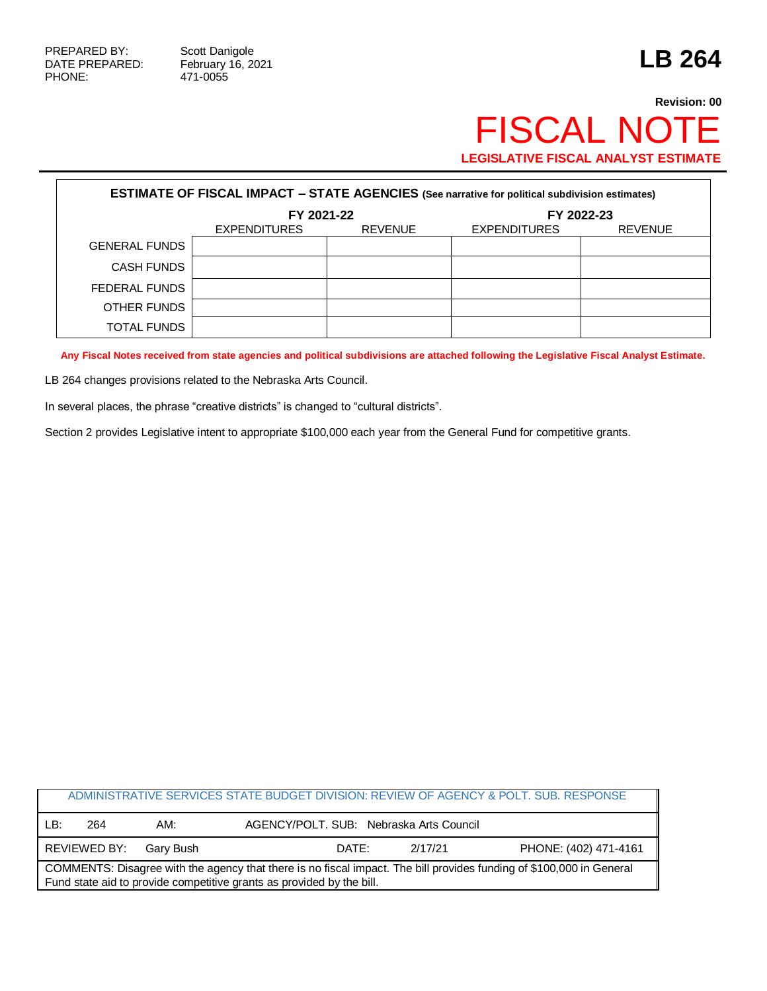Г

471-0055

## **Revision: 00** FISCAL NOTE **LEGISLATIVE FISCAL ANALYST ESTIMATE**

| <b>ESTIMATE OF FISCAL IMPACT - STATE AGENCIES (See narrative for political subdivision estimates)</b> |                     |                |                     |                |  |
|-------------------------------------------------------------------------------------------------------|---------------------|----------------|---------------------|----------------|--|
|                                                                                                       | FY 2021-22          |                | FY 2022-23          |                |  |
|                                                                                                       | <b>EXPENDITURES</b> | <b>REVENUE</b> | <b>EXPENDITURES</b> | <b>REVENUE</b> |  |
| <b>GENERAL FUNDS</b>                                                                                  |                     |                |                     |                |  |
| <b>CASH FUNDS</b>                                                                                     |                     |                |                     |                |  |
| FEDERAL FUNDS                                                                                         |                     |                |                     |                |  |
| OTHER FUNDS                                                                                           |                     |                |                     |                |  |
| <b>TOTAL FUNDS</b>                                                                                    |                     |                |                     |                |  |

**Any Fiscal Notes received from state agencies and political subdivisions are attached following the Legislative Fiscal Analyst Estimate.**

LB 264 changes provisions related to the Nebraska Arts Council.

In several places, the phrase "creative districts" is changed to "cultural districts".

Section 2 provides Legislative intent to appropriate \$100,000 each year from the General Fund for competitive grants.

|                                                                                                                                                                                               |              |           |                                         |         | ADMINISTRATIVE SERVICES STATE BUDGET DIVISION: REVIEW OF AGENCY & POLT. SUB. RESPONSE |  |
|-----------------------------------------------------------------------------------------------------------------------------------------------------------------------------------------------|--------------|-----------|-----------------------------------------|---------|---------------------------------------------------------------------------------------|--|
| LB:                                                                                                                                                                                           | 264          | AM:       | AGENCY/POLT, SUB: Nebraska Arts Council |         |                                                                                       |  |
|                                                                                                                                                                                               | REVIEWED BY: | Garv Bush | DATE:                                   | 2/17/21 | PHONE: (402) 471-4161                                                                 |  |
| COMMENTS: Disagree with the agency that there is no fiscal impact. The bill provides funding of \$100,000 in General<br>Fund state aid to provide competitive grants as provided by the bill. |              |           |                                         |         |                                                                                       |  |